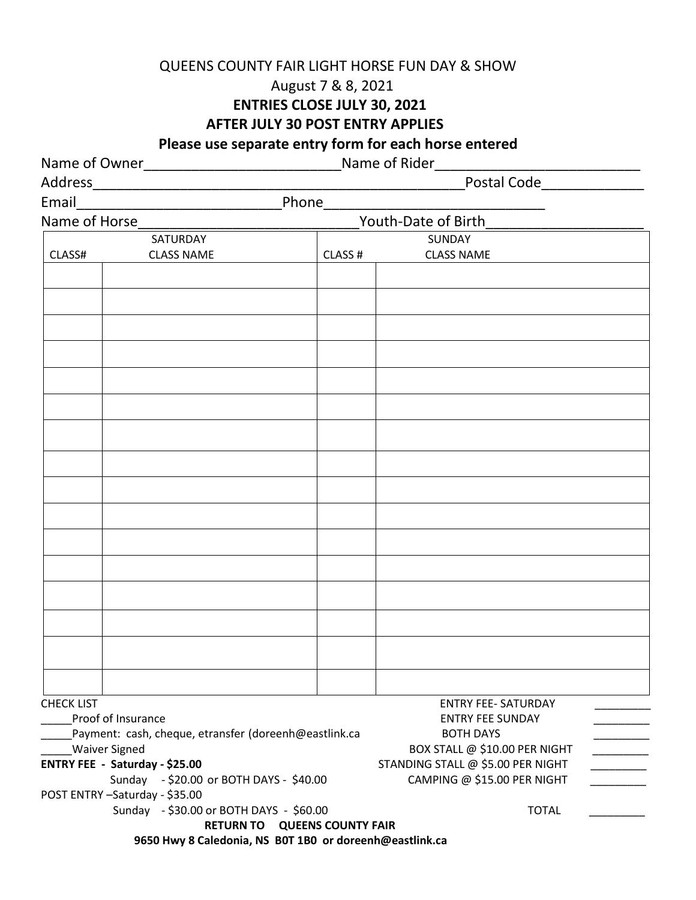#### QUEENS COUNTY FAIR LIGHT HORSE FUN DAY & SHOW

# August 7 & 8, 2021

#### **ENTRIES CLOSE JULY 30, 2021**

**AFTER JULY 30 POST ENTRY APPLIES**

 **Please use separate entry form for each horse entered**

|                                                       |                                                         | Name of Rider_                      |                                             |
|-------------------------------------------------------|---------------------------------------------------------|-------------------------------------|---------------------------------------------|
|                                                       |                                                         |                                     |                                             |
|                                                       |                                                         | Phone______                         |                                             |
| Name of Horse                                         |                                                         | Youth-Date of Birth                 |                                             |
|                                                       | SATURDAY                                                |                                     | SUNDAY                                      |
| CLASS#                                                | <b>CLASS NAME</b>                                       | CLASS #                             | <b>CLASS NAME</b>                           |
|                                                       |                                                         |                                     |                                             |
|                                                       |                                                         |                                     |                                             |
|                                                       |                                                         |                                     |                                             |
|                                                       |                                                         |                                     |                                             |
|                                                       |                                                         |                                     |                                             |
|                                                       |                                                         |                                     |                                             |
|                                                       |                                                         |                                     |                                             |
|                                                       |                                                         |                                     |                                             |
|                                                       |                                                         |                                     |                                             |
|                                                       |                                                         |                                     |                                             |
|                                                       |                                                         |                                     |                                             |
|                                                       |                                                         |                                     |                                             |
|                                                       |                                                         |                                     |                                             |
|                                                       |                                                         |                                     |                                             |
|                                                       |                                                         |                                     |                                             |
|                                                       |                                                         |                                     |                                             |
|                                                       |                                                         |                                     |                                             |
| <b>CHECK LIST</b><br>Proof of Insurance               |                                                         | <b>ENTRY FEE- SATURDAY</b>          |                                             |
| Payment: cash, cheque, etransfer (doreenh@eastlink.ca |                                                         |                                     | <b>ENTRY FEE SUNDAY</b><br><b>BOTH DAYS</b> |
| <b>Waiver Signed</b>                                  |                                                         |                                     | BOX STALL @ \$10.00 PER NIGHT               |
| ENTRY FEE - Saturday - \$25.00                        |                                                         |                                     | STANDING STALL @ \$5.00 PER NIGHT           |
| Sunday - \$20.00 or BOTH DAYS - \$40.00               |                                                         |                                     | CAMPING @ \$15.00 PER NIGHT                 |
| POST ENTRY-Saturday - \$35.00                         |                                                         |                                     |                                             |
| Sunday - \$30.00 or BOTH DAYS - \$60.00               |                                                         |                                     | <b>TOTAL</b>                                |
|                                                       |                                                         | <b>RETURN TO QUEENS COUNTY FAIR</b> |                                             |
|                                                       | 9650 Hwy 8 Caledonia, NS B0T 1B0 or doreenh@eastlink.ca |                                     |                                             |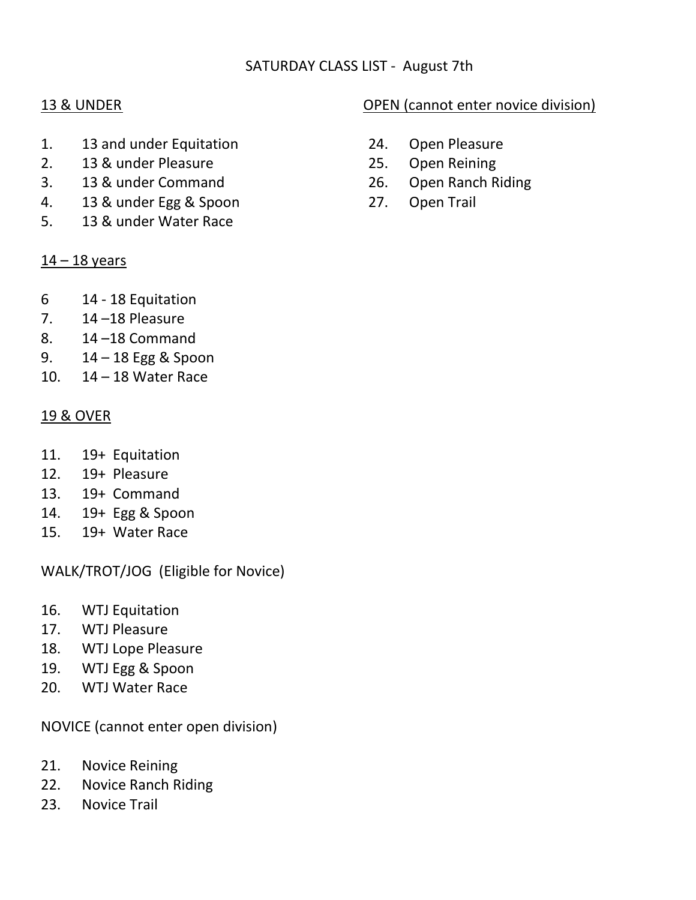## SATURDAY CLASS LIST - August 7th

- 1. 13 and under Equitation 24. Open Pleasure
- 2. 13 & under Pleasure 25. Open Reining
- 3. 13 & under Command 26. Open Ranch Riding
- 4. 13 & under Egg & Spoon 27. Open Trail
- 5. 13 & under Water Race

#### $14 - 18$  years

- 6 14 18 Equitation
- 7.  $14 18$  Pleasure
- 8. 14 –18 Command
- 9. 14 18 Egg & Spoon
- 10. 14 18 Water Race

#### 19 & OVER

- 11. 19+ Equitation
- 12. 19+ Pleasure
- 13. 19+ Command
- 14. 19+ Egg & Spoon
- 15. 19+ Water Race

WALK/TROT/JOG (Eligible for Novice)

- 16. WTJ Equitation
- 17. WTJ Pleasure
- 18. WTJ Lope Pleasure
- 19. WTJ Egg & Spoon
- 20. WTJ Water Race

NOVICE (cannot enter open division)

- 21. Novice Reining
- 22. Novice Ranch Riding
- 23. Novice Trail

## 13 & UNDER OPEN (cannot enter novice division)

- 
- 
- 
-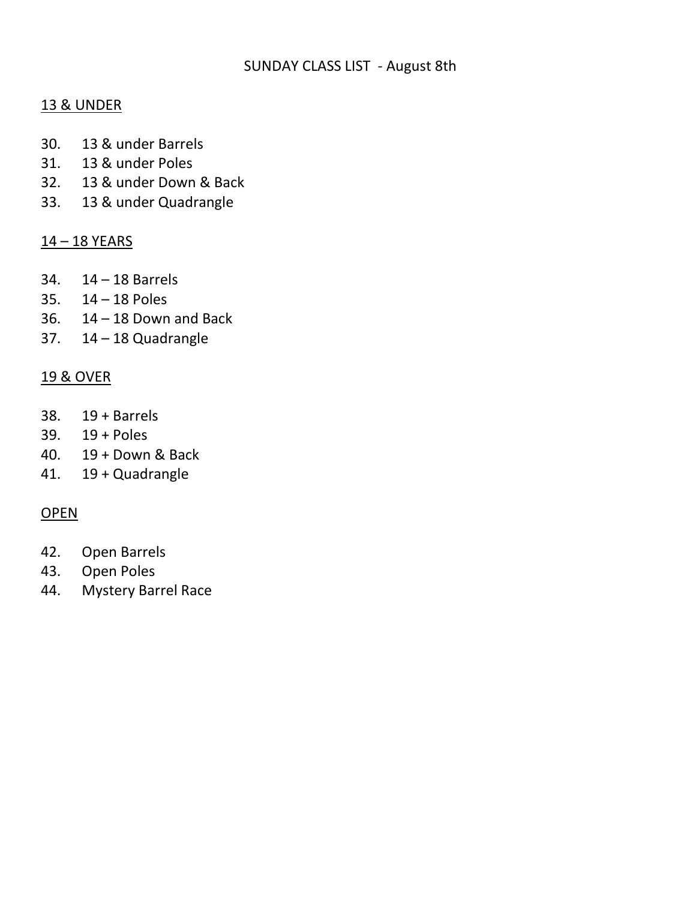#### SUNDAY CLASS LIST - August 8th

## 13 & UNDER

- 30. 13 & under Barrels
- 31. 13 & under Poles
- 32. 13 & under Down & Back
- 33. 13 & under Quadrangle

#### 14 – 18 YEARS

- 34. 14 18 Barrels
- 35. 14 18 Poles
- 36.  $14 18$  Down and Back
- 37. 14 18 Quadrangle

## 19 & OVER

- 38. 19 + Barrels
- 39. 19 + Poles
- 40. 19 + Down & Back
- 41. 19 + Quadrangle

## **OPEN**

- 42. Open Barrels
- 43. Open Poles
- 44. Mystery Barrel Race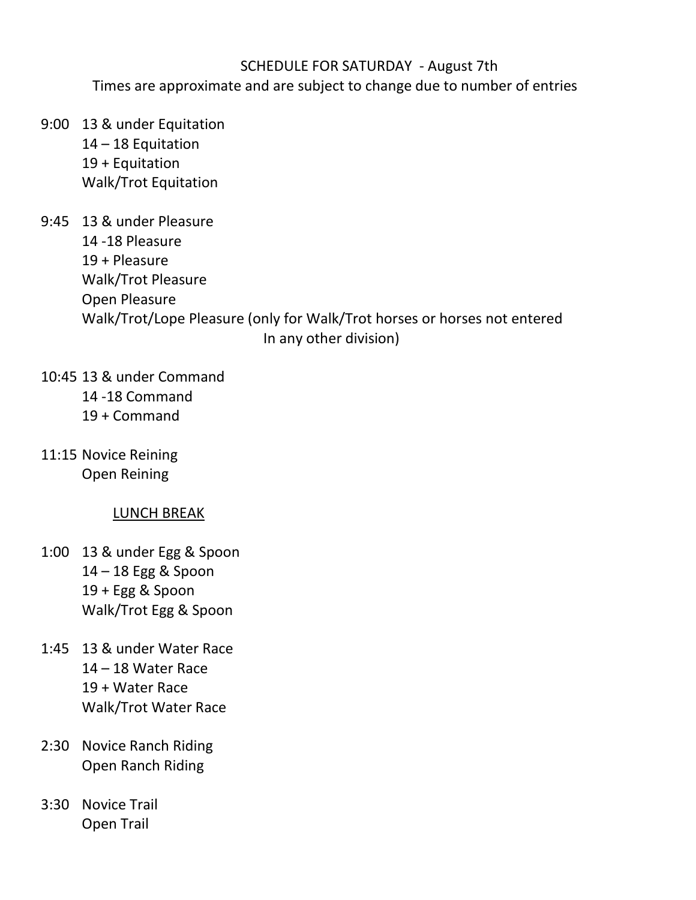## SCHEDULE FOR SATURDAY - August 7th

Times are approximate and are subject to change due to number of entries

- 9:00 13 & under Equitation 14 – 18 Equitation 19 + Equitation Walk/Trot Equitation
- 9:45 13 & under Pleasure 14 -18 Pleasure 19 + Pleasure Walk/Trot Pleasure Open Pleasure Walk/Trot/Lope Pleasure (only for Walk/Trot horses or horses not entered In any other division)
- 10:45 13 & under Command 14 -18 Command 19 + Command
- 11:15 Novice Reining Open Reining

## LUNCH BREAK

- 1:00 13 & under Egg & Spoon 14 – 18 Egg & Spoon 19 + Egg & Spoon Walk/Trot Egg & Spoon
- 1:45 13 & under Water Race 14 – 18 Water Race 19 + Water Race Walk/Trot Water Race
- 2:30 Novice Ranch Riding Open Ranch Riding
- 3:30 Novice Trail Open Trail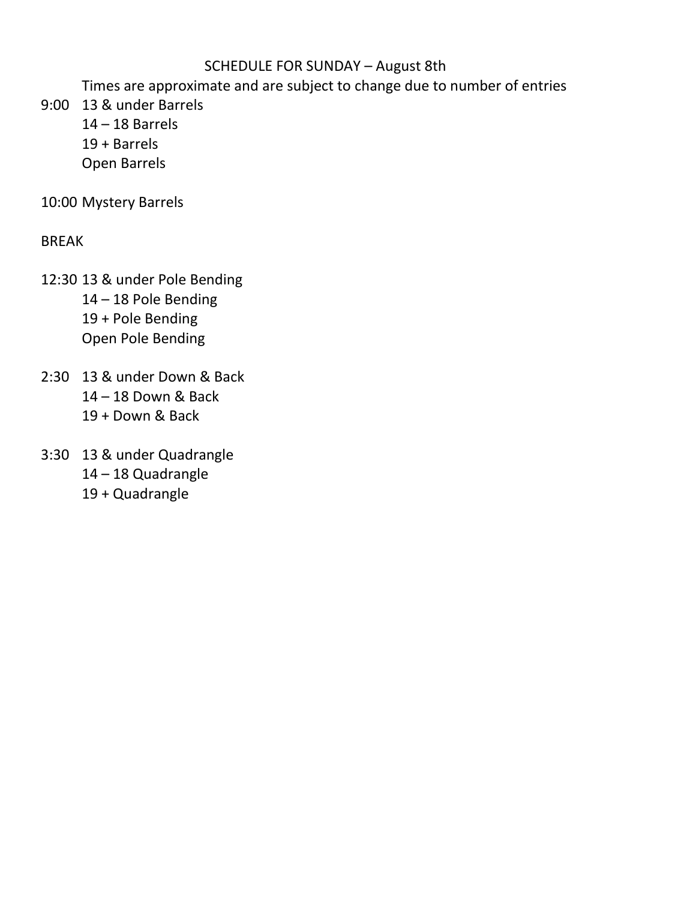# SCHEDULE FOR SUNDAY – August 8th

Times are approximate and are subject to change due to number of entries

- 9:00 13 & under Barrels
	- $14 18$  Barrels
	- 19 + Barrels
	- Open Barrels

10:00 Mystery Barrels

BREAK

- 12:30 13 & under Pole Bending 14 – 18 Pole Bending 19 + Pole Bending Open Pole Bending
- 2:30 13 & under Down & Back 14 – 18 Down & Back 19 + Down & Back
- 3:30 13 & under Quadrangle 14 – 18 Quadrangle 19 + Quadrangle